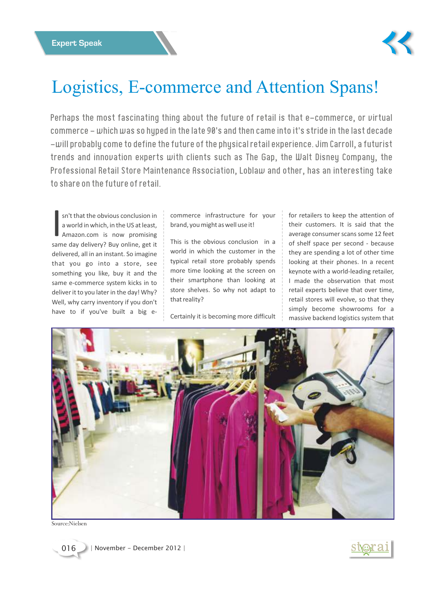

## Logistics, E-commerce and Attention Spans!

Perhaps the most fascinating thing about the future of retail is that e-commerce, or virtual commerce - which was so hyped in the late 90's and then came into it's stride in the last decade -will probably come to define the future of the physical retail experience. Jim Carroll, a futurist trends and innovation experts with clients such as The Gap, the Walt Disney Company, the Professional Retail Store Maintenance Association, Loblaw and other, has an interesting take to share on the future of retail.

I sn't that the obvious conclusion in a world in which, in the US at least, Amazon.com is now promising same day delivery? Buy online, get it delivered, all in an instant. So imagine that you go into a store, see something you like, buy it and the same e-commerce system kicks in to deliver it to you later in the day! Why? Well, why carry inventory if you don't have to if you've built a big e-

commerce infrastructure for your brand, you might as well use it!

This is the obvious conclusion in a world in which the customer in the typical retail store probably spends more time looking at the screen on their smartphone than looking at store shelves. So why not adapt to that reality?

Certainly it is becoming more difficult

for retailers to keep the attention of their customers. It is said that the average consumer scans some 12 feet of shelf space per second - because they are spending a lot of other time looking at their phones. In a recent keynote with a world-leading retailer, I made the observation that most retail experts believe that over time, retail stores will evolve, so that they simply become showrooms for a massive backend logistics system that



Source:Nielsen